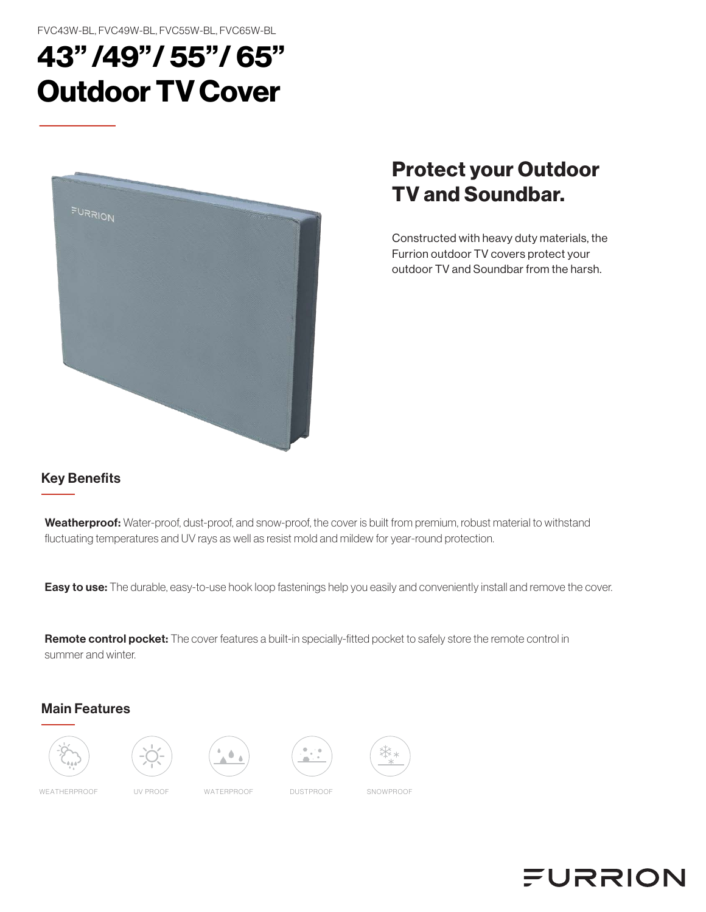FVC43W-BL, FVC49W-BL, FVC55W-BL, FVC65W-BL

# 43" /49"/ 55"/ 65" Outdoor TV Cover



# Protect your Outdoor TV and Soundbar.

Constructed with heavy duty materials, the Furrion outdoor TV covers protect your outdoor TV and Soundbar from the harsh.

### Key Benefits

Weatherproof: Water-proof, dust-proof, and snow-proof, the cover is built from premium, robust material to withstand fluctuating temperatures and UV rays as well as resist mold and mildew for year-round protection.

Easy to use: The durable, easy-to-use hook loop fastenings help you easily and conveniently install and remove the cover.

Remote control pocket: The cover features a built-in specially-fitted pocket to safely store the remote control in summer and winter.

#### Main Features









WEATHERPROOF UV PROOF WATERPROOF DUSTPROOF SNOWPROOF

# **FURRION**